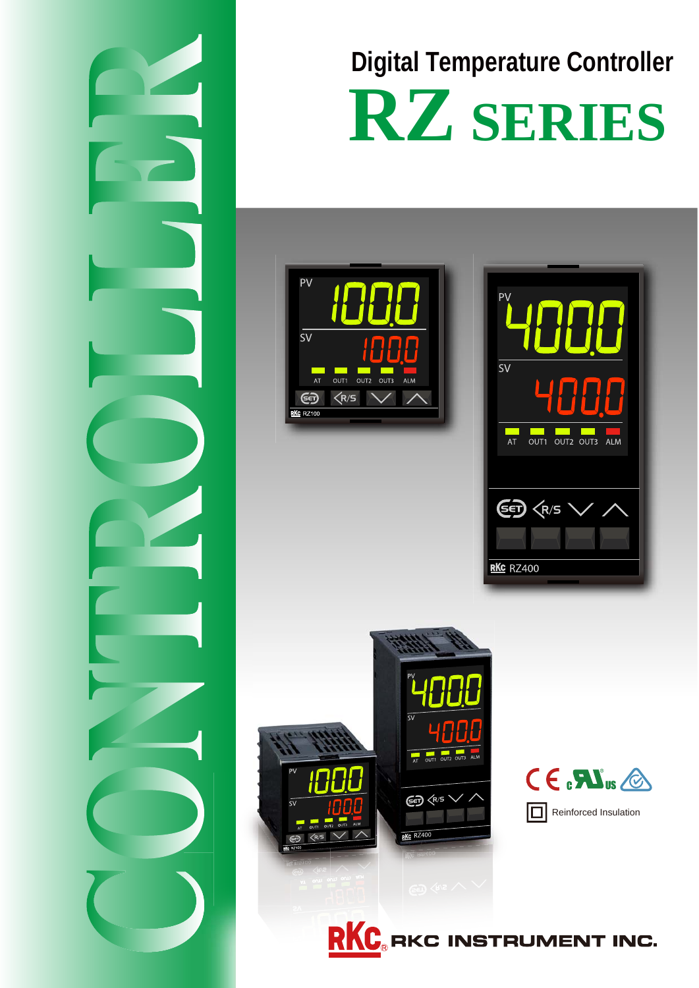

# **RZ SERIES Digital Temperature Controller**

## PV  $\overline{\overline{\text{s}v}}$  $\overline{\overline{\overline{\overline{\overline{u}}}}$  out 1 OUT2 OUT3 ALM  $\left\langle R/S \right\rangle$ ණි  $R$ <sup>KC</sup> RZ100

| PV                                                                                                                                                            |
|---------------------------------------------------------------------------------------------------------------------------------------------------------------|
| <b>SV</b>                                                                                                                                                     |
|                                                                                                                                                               |
| <b>Contract Contract Contract Contract Contract Contract Contract Contract Contract Contract Contract Contract C</b><br><b>ALM</b><br>OUT1<br>OUT2 OUT3<br>AT |
|                                                                                                                                                               |
| (S∈<br>$\left\langle R/S \right\rangle$                                                                                                                       |
|                                                                                                                                                               |
| RKC RZ400                                                                                                                                                     |
|                                                                                                                                                               |





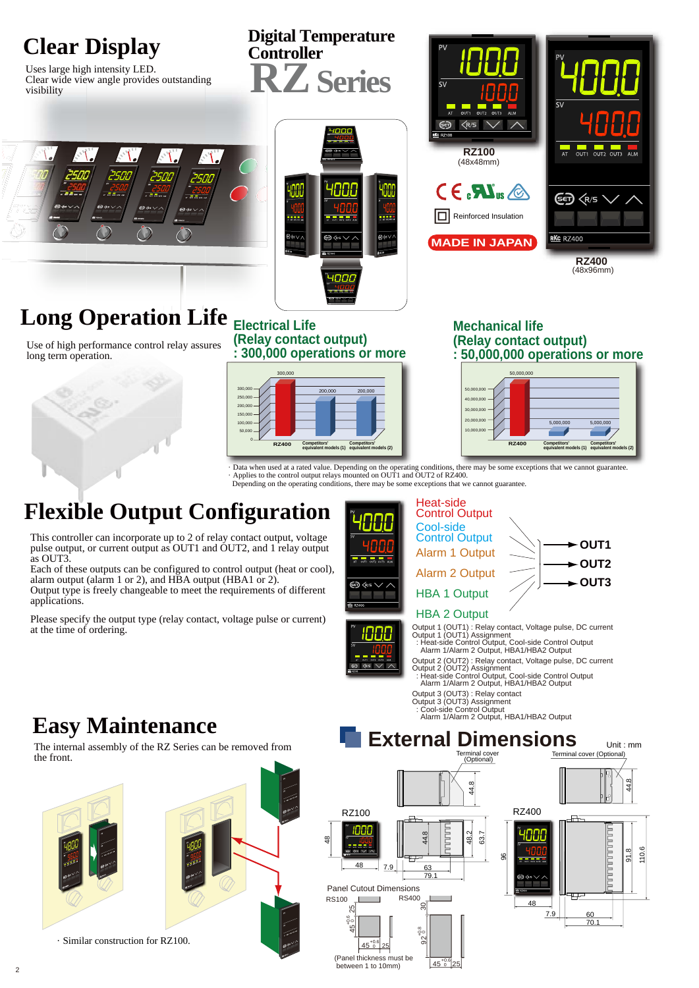

(Panel thickness must be between 1 to 10mm)

 $45^{+0.6}_{0}$  25

 $145^{+0.6}_{0}$  25

· Similar construction for RZ100.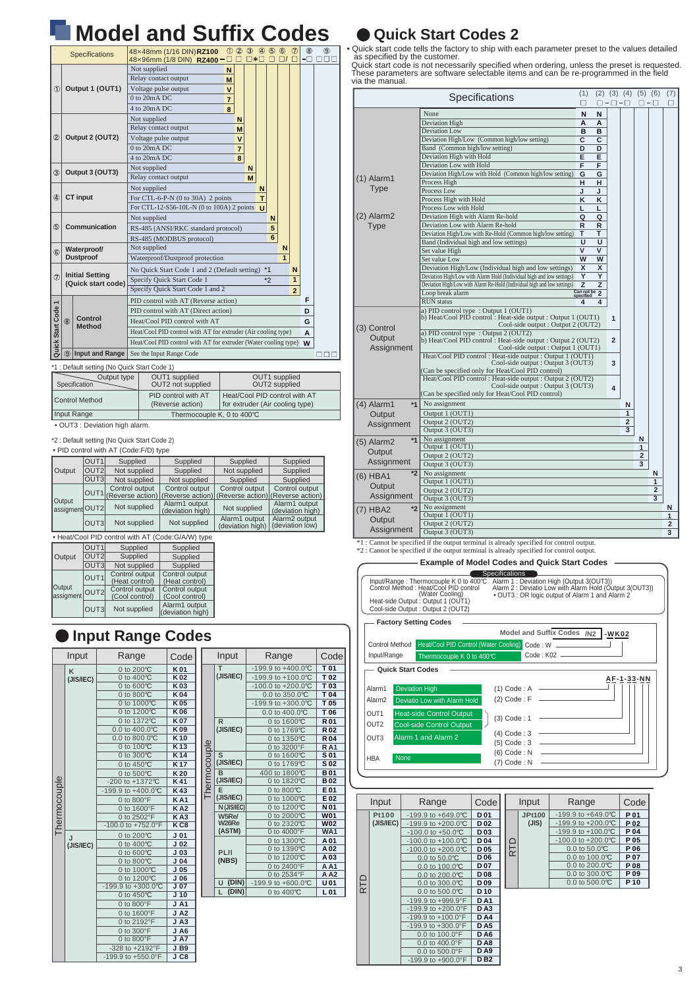# **Model and Suffix Codes**

|                                                             |     | Specifications   | $\circled{1}$ $\circled{2}$ $\circled{3}$<br>48×48mm (1/16 DIN)RZ100<br>48×96mm (1/8 DIN) RZ400- | $\Box * \Box$ | 405          |      | $^{\circ}$     | Ø              | $\circledR$ | $\circledcirc$ |
|-------------------------------------------------------------|-----|------------------|--------------------------------------------------------------------------------------------------|---------------|--------------|------|----------------|----------------|-------------|----------------|
|                                                             |     |                  | Not supplied<br>N                                                                                |               |              |      |                |                |             |                |
|                                                             |     |                  | Relay contact output<br>M                                                                        |               |              |      |                |                |             |                |
| (T)                                                         |     | Output 1 (OUT1)  | Voltage pulse output<br>$\mathbf{v}$                                                             |               |              |      |                |                |             |                |
|                                                             |     |                  | 0 to 20mA DC<br>7                                                                                |               |              |      |                |                |             |                |
|                                                             |     |                  | $4$ to $20mA$ DC.<br>8                                                                           |               |              |      |                |                |             |                |
|                                                             |     |                  | Not supplied<br>N                                                                                |               |              |      |                |                |             |                |
|                                                             |     |                  | Relay contact output<br>M                                                                        |               |              |      |                |                |             |                |
| $^{\circ}$                                                  |     | Output 2 (OUT2)  | Voltage pulse output<br>v                                                                        |               |              |      |                |                |             |                |
|                                                             |     |                  | $0$ to $20mA$ DC.<br>$\overline{7}$                                                              |               |              |      |                |                |             |                |
|                                                             |     |                  | $4$ to $20mA$ DC.<br>8                                                                           |               |              |      |                |                |             |                |
| $\circled{3}$                                               |     | Output 3 (OUT3)  | Not supplied                                                                                     | N             |              |      |                |                |             |                |
|                                                             |     |                  | Relay contact output                                                                             | M             |              |      |                |                |             |                |
|                                                             |     |                  | Not supplied                                                                                     |               | N            |      |                |                |             |                |
| ⊕                                                           |     | <b>CT</b> input  | For CTL-6-P-N $(0 \text{ to } 30\text{A})$ 2 points<br>T                                         |               |              |      |                |                |             |                |
|                                                             |     |                  | For CTL-12-S56-10L-N (0 to 100A) 2 points                                                        |               | $\mathbf{u}$ |      |                |                |             |                |
|                                                             |     |                  | Not supplied                                                                                     |               |              | N    |                |                |             |                |
| $\circledS$<br>Communication                                |     |                  | 5<br>RS-485 (ANSI/RKC standard protocol)                                                         |               |              |      |                |                |             |                |
|                                                             |     |                  | RS-485 (MODBUS protocol)                                                                         |               |              | 6    |                |                |             |                |
| $\circledR$                                                 |     | Waterproof/      | Not supplied                                                                                     |               |              |      | N              |                |             |                |
|                                                             |     | <b>Dustproof</b> | Waterproof/Dustproof protection                                                                  |               |              |      | $\overline{1}$ |                |             |                |
|                                                             |     |                  | No Quick Start Code 1 and 2 (Default setting)                                                    |               |              | $*1$ |                | N              |             |                |
| <b>Initial Setting</b><br>$\circled7$<br>(Quick start code) |     |                  | Specify Quick Start Code 1                                                                       |               |              | $*2$ |                | $\mathbf{1}$   |             |                |
|                                                             |     |                  | Specify Ouick Start Code 1 and 2                                                                 |               |              |      |                | $\overline{2}$ |             |                |
|                                                             |     |                  | PID control with AT (Reverse action)                                                             |               |              |      |                |                | F           |                |
|                                                             |     |                  | PID control with AT (Direct action)                                                              |               |              |      |                | D              |             |                |
| Control<br>(8)                                              |     | <b>Method</b>    | Heat/Cool PID control with AT                                                                    |               |              |      |                |                | G           |                |
|                                                             |     |                  | Heat/Cool PID control with AT for extruder (Air cooling type)                                    |               |              |      |                |                | A           |                |
| Quick Start Code 1                                          |     |                  | Heat/Cool PID control with AT for extruder (Water cooling type)                                  |               |              |      |                |                | W           |                |
|                                                             | (9) | Input and Range  | See the Input Range Code                                                                         |               |              |      |                |                |             |                |
|                                                             |     |                  |                                                                                                  |               |              |      |                |                |             |                |

\*1 : Default setting (No Quick Start Code 1)

| <b>1. Delay it setting (190 Quick Start Coup 1)</b> |                                         |                                                                  |  |  |  |  |  |
|-----------------------------------------------------|-----------------------------------------|------------------------------------------------------------------|--|--|--|--|--|
| Output type<br>Specification                        | OUT1 supplied<br>OUT2 not supplied      | OUT1 supplied<br>OUT2 supplied                                   |  |  |  |  |  |
| Control Method                                      | PID control with AT<br>(Reverse action) | Heat/Cool PID control with AT<br>for extruder (Air cooling type) |  |  |  |  |  |
| Input Range                                         | Thermocouple K, 0 to 400℃               |                                                                  |  |  |  |  |  |

#### • OUT3 : Deviation high alarm.

\*2 : Default setting (No Quick Start Code 2)

• PID control with AT (Code:F/D) type

|                                                    | OUT <sub>1</sub> | Supplied                           | Supplied                           | Supplied                           | Supplied                           |  |  |
|----------------------------------------------------|------------------|------------------------------------|------------------------------------|------------------------------------|------------------------------------|--|--|
| Output                                             | OUT <sub>2</sub> | Not supplied                       | Supplied                           | Not supplied                       | Supplied                           |  |  |
|                                                    | OUT <sub>3</sub> | Not supplied                       | Not supplied                       | Supplied                           | Supplied                           |  |  |
|                                                    | OUT <sub>1</sub> | Control output<br>(Reverse action) | Control output<br>(Reverse action) | Control output<br>(Reverse action) | Control output<br>(Reverse action) |  |  |
| Output<br>assigment OUT2                           |                  | Not supplied                       | Alarm1 output<br>(deviation high)  | Not supplied                       | Alarm1 output<br>(deviation high)  |  |  |
|                                                    | OUT <sub>3</sub> | Not supplied                       | Not supplied                       | Alarm1 output<br>(deviation high)  | Alarm2 output<br>(deviation low)   |  |  |
| . Heat/Cool PID control with AT (Code: G/A/W) type |                  |                                    |                                    |                                    |                                    |  |  |

|                          | OUT <sub>1</sub> | Supplied                         | Supplied                          |  |  |
|--------------------------|------------------|----------------------------------|-----------------------------------|--|--|
| Output                   | OUT <sub>2</sub> | Supplied                         | Supplied                          |  |  |
|                          | OUT <sub>3</sub> | Not supplied                     | Supplied                          |  |  |
|                          | OUT <sub>1</sub> | Control output<br>(Heat control) | Control output<br>(Heat control)  |  |  |
| Output<br>assigment OUT2 |                  | Control output<br>(Cool control) | Control output<br>(Cool control)  |  |  |
|                          | OUT <sub>3</sub> | Not supplied                     | Alarm1 output<br>(deviation high) |  |  |

### **Input Range Codes**

| Input     | Range                   | Code                                                                                                                                                                            |                                                                                                                                                                                                                                                      | Input          | Range                                                                                              | Code                                                                                                                                                                       |
|-----------|-------------------------|---------------------------------------------------------------------------------------------------------------------------------------------------------------------------------|------------------------------------------------------------------------------------------------------------------------------------------------------------------------------------------------------------------------------------------------------|----------------|----------------------------------------------------------------------------------------------------|----------------------------------------------------------------------------------------------------------------------------------------------------------------------------|
|           | 0 to 200°C              | K01                                                                                                                                                                             |                                                                                                                                                                                                                                                      | T              | -199.9 to +400.0°C                                                                                 | T 01                                                                                                                                                                       |
| (JIS/IEC) | 0 to 400°C              | K02                                                                                                                                                                             |                                                                                                                                                                                                                                                      | (JIS/IEC)      | -199.9 to +100.0°C                                                                                 | T 02                                                                                                                                                                       |
|           | 0 to 600°C              | K03                                                                                                                                                                             |                                                                                                                                                                                                                                                      |                | $-100.0$ to $+200.0$ °C                                                                            | T 03                                                                                                                                                                       |
|           | 0 to 800°C              | K04                                                                                                                                                                             |                                                                                                                                                                                                                                                      |                | 0.0 to 350.0°C                                                                                     | T04                                                                                                                                                                        |
|           | 0 to 1000°C             | K05                                                                                                                                                                             |                                                                                                                                                                                                                                                      |                | -199.9 to +300.0°C                                                                                 | T 05                                                                                                                                                                       |
|           | 0 to 1200°C             | <b>K06</b>                                                                                                                                                                      |                                                                                                                                                                                                                                                      |                |                                                                                                    | T 06                                                                                                                                                                       |
|           | 0 to 1372°C             | <b>K07</b>                                                                                                                                                                      |                                                                                                                                                                                                                                                      | $\mathsf{R}$   |                                                                                                    | <b>R01</b>                                                                                                                                                                 |
|           | 0.0 to 400.0℃           | K09                                                                                                                                                                             |                                                                                                                                                                                                                                                      | (JIS/IEC)      | 0 to 1769°C                                                                                        | R <sub>02</sub>                                                                                                                                                            |
|           | 0.0 to 800.0℃           | $K$ 10                                                                                                                                                                          |                                                                                                                                                                                                                                                      |                | 0 to 1350°C                                                                                        | <b>R04</b>                                                                                                                                                                 |
|           | 0 to 100℃               | K <sub>13</sub>                                                                                                                                                                 |                                                                                                                                                                                                                                                      |                |                                                                                                    | <b>RA1</b>                                                                                                                                                                 |
|           | 0 to 300°C              |                                                                                                                                                                                 |                                                                                                                                                                                                                                                      | S<br>(JIS/IEC) | 0 to 1600°C                                                                                        | S 01                                                                                                                                                                       |
|           | 0 to 450°C              | <b>K17</b>                                                                                                                                                                      |                                                                                                                                                                                                                                                      |                | 0 to 1769°C                                                                                        | S 02                                                                                                                                                                       |
|           | 0 to 500°C              | K20                                                                                                                                                                             |                                                                                                                                                                                                                                                      | B              | 400 to 1800℃                                                                                       | <b>B01</b>                                                                                                                                                                 |
|           | -200 to +1372°C         | K41                                                                                                                                                                             |                                                                                                                                                                                                                                                      |                | 0 to 1820°C                                                                                        | <b>B02</b>                                                                                                                                                                 |
|           | $-199.9$ to $+400.0$ °C | K43                                                                                                                                                                             |                                                                                                                                                                                                                                                      | E              | 0 to 800°C                                                                                         | E 01                                                                                                                                                                       |
|           | 0 to 800°F              | <b>KA1</b>                                                                                                                                                                      |                                                                                                                                                                                                                                                      |                | 0 to 1000°C                                                                                        | E02                                                                                                                                                                        |
|           |                         |                                                                                                                                                                                 |                                                                                                                                                                                                                                                      | N (JIS/IEC)    | 0 to 1200°C                                                                                        | N <sub>01</sub>                                                                                                                                                            |
|           | 0 to 2502°F             | KA3                                                                                                                                                                             |                                                                                                                                                                                                                                                      | W5Re/          | 0 to 2000°C                                                                                        | <b>W01</b>                                                                                                                                                                 |
|           | $-100.0$ to $+752.0$ °F | K <sub>C8</sub>                                                                                                                                                                 |                                                                                                                                                                                                                                                      |                | 0 to 2320°C                                                                                        | <b>W02</b>                                                                                                                                                                 |
|           |                         |                                                                                                                                                                                 |                                                                                                                                                                                                                                                      |                |                                                                                                    | WA <sub>1</sub>                                                                                                                                                            |
| (JIS/IEC) |                         |                                                                                                                                                                                 |                                                                                                                                                                                                                                                      |                |                                                                                                    | A 01                                                                                                                                                                       |
|           |                         |                                                                                                                                                                                 |                                                                                                                                                                                                                                                      |                |                                                                                                    | A02                                                                                                                                                                        |
|           |                         |                                                                                                                                                                                 |                                                                                                                                                                                                                                                      |                |                                                                                                    | A03                                                                                                                                                                        |
|           |                         |                                                                                                                                                                                 |                                                                                                                                                                                                                                                      |                |                                                                                                    | A A1                                                                                                                                                                       |
|           |                         |                                                                                                                                                                                 |                                                                                                                                                                                                                                                      |                |                                                                                                    | A A2                                                                                                                                                                       |
|           |                         |                                                                                                                                                                                 |                                                                                                                                                                                                                                                      |                |                                                                                                    | U01                                                                                                                                                                        |
|           | 0 to 450°C              | J <sub>10</sub>                                                                                                                                                                 |                                                                                                                                                                                                                                                      |                |                                                                                                    | L <sub>01</sub>                                                                                                                                                            |
|           |                         |                                                                                                                                                                                 |                                                                                                                                                                                                                                                      |                |                                                                                                    |                                                                                                                                                                            |
|           | 0 to 1600°F             |                                                                                                                                                                                 |                                                                                                                                                                                                                                                      |                |                                                                                                    |                                                                                                                                                                            |
|           |                         |                                                                                                                                                                                 |                                                                                                                                                                                                                                                      |                |                                                                                                    |                                                                                                                                                                            |
|           |                         |                                                                                                                                                                                 |                                                                                                                                                                                                                                                      |                |                                                                                                    |                                                                                                                                                                            |
|           |                         |                                                                                                                                                                                 |                                                                                                                                                                                                                                                      |                |                                                                                                    |                                                                                                                                                                            |
|           | -328 to +2192°F         |                                                                                                                                                                                 |                                                                                                                                                                                                                                                      |                |                                                                                                    |                                                                                                                                                                            |
|           | -199.9 to +550.0°F      | J <sub>C8</sub>                                                                                                                                                                 |                                                                                                                                                                                                                                                      |                |                                                                                                    |                                                                                                                                                                            |
|           | K<br>J                  | 0 to 1600°F<br>0 to 200℃<br>0 to 400°C<br>0 to 600°C<br>0 to 800°C<br>0 to 1000°C<br>0 to 1200°C<br>-199.9 to +300.0°C<br>0 to 800°F<br>0 to 2192°F<br>0 to 300°F<br>0 to 800°F | K <sub>14</sub><br>KA <sub>2</sub><br>J <sub>01</sub><br>J <sub>02</sub><br>J <sub>03</sub><br>J <sub>04</sub><br>J <sub>05</sub><br>J06<br>J <sub>07</sub><br>J A1<br>$J$ A <sub>2</sub><br>$J$ A <sub>3</sub><br>$J$ A <sub>6</sub><br>JAT<br>J B9 | Thermocouple   | (JIS/IEC)<br>(JIS/IEC)<br>W <sub>26Re</sub><br>(ASTM)<br>PLII<br>(NBS)<br>(DIN)<br>U<br>(DIN)<br>L | 0.0 to 400.0°C<br>0 to 1600°C<br>0 to 3200°F<br>0 to 4000°F<br>0 to 1300°C<br>0 to 1390°C<br>0 to 1200°C<br>0 to 2400°F<br>0 to 2534°F<br>-199.9 to +600.0°C<br>0 to 400°C |

## **Quick Start Codes 2**

• Quick start code tells the factory to ship with each parameter preset to the values detailed<br>as specified by the customer.<br>Quick start code is not necessarily specified when ordering, unless the preset is requested.<br>Thes via the manual.

|                      | Specifications                                                                                                | (1)<br>о                        | П | $-\Box - \Box$ |                         | $(2)$ $(3)$ $(4)$ $(5)$ $(6)$<br>$\Box$ - $\Box$ |                | (7)<br>□       |
|----------------------|---------------------------------------------------------------------------------------------------------------|---------------------------------|---|----------------|-------------------------|--------------------------------------------------|----------------|----------------|
|                      | None                                                                                                          | N                               | N |                |                         |                                                  |                |                |
|                      | Deviation High                                                                                                | Α                               | А |                |                         |                                                  |                |                |
|                      | <b>Deviation Low</b>                                                                                          | B                               | B |                |                         |                                                  |                |                |
|                      | Deviation High/Low (Common high/low setting)                                                                  | С                               | C |                |                         |                                                  |                |                |
|                      | Band (Common high/low setting)                                                                                | D                               | D |                |                         |                                                  |                |                |
|                      | Deviation High with Hold                                                                                      | E                               | E |                |                         |                                                  |                |                |
|                      | Deviation Low with Hold                                                                                       | F                               | F |                |                         |                                                  |                |                |
|                      | Deviation High/Low with Hold (Common high/low setting)                                                        | G                               | G |                |                         |                                                  |                |                |
| $(1)$ Alarm1         | Process High                                                                                                  | н                               | н |                |                         |                                                  |                |                |
| <b>Type</b>          | Process Low                                                                                                   | J                               | J |                |                         |                                                  |                |                |
|                      | Process High with Hold                                                                                        | ĸ                               | ĸ |                |                         |                                                  |                |                |
|                      | Process Low with Hold                                                                                         | L                               | L |                |                         |                                                  |                |                |
| (2) Alarm2           | Deviation High with Alarm Re-hold                                                                             | Q                               | Q |                |                         |                                                  |                |                |
| <b>Type</b>          | Deviation Low with Alarm Re-hold                                                                              | R                               | R |                |                         |                                                  |                |                |
|                      | Deviation High/Low with Re-Hold (Common high/low setting)                                                     | т                               | т |                |                         |                                                  |                |                |
|                      | Band (Individual high and low settings)                                                                       | U                               | U |                |                         |                                                  |                |                |
|                      | Set value High                                                                                                | V                               | V |                |                         |                                                  |                |                |
|                      | Set value Low                                                                                                 | W                               | W |                |                         |                                                  |                |                |
|                      | Deviation High/Low (Individual high and low settings)                                                         | X                               | X |                |                         |                                                  |                |                |
|                      | Deviation High/Low with Alarm Hold (Individual high and low settings)                                         | Y                               | Y |                |                         |                                                  |                |                |
|                      | Deviation High/Low with Alarm Re-Hold (Individual high and low settings)                                      | z                               | Z |                |                         |                                                  |                |                |
|                      | Loop break alarm                                                                                              | $\frac{1}{\text{Can not be}}$ 2 |   |                |                         |                                                  |                |                |
|                      | <b>RUN</b> status                                                                                             | specified<br>4                  | 4 |                |                         |                                                  |                |                |
|                      |                                                                                                               |                                 |   |                |                         |                                                  |                |                |
|                      | a) PID control type: Output 1 (OUT1)<br>b) Heat/Cool PID control: Heat-side output: Output 1 (OUT1)           |                                 |   | 1              |                         |                                                  |                |                |
| (3) Control          | Cool-side output : Output 2 (OUT2)                                                                            |                                 |   |                |                         |                                                  |                |                |
|                      | a) PID control type: Output 2 (OUT2)                                                                          |                                 |   |                |                         |                                                  |                |                |
| Output               | b) Heat/Cool PID control: Heat-side output: Output 2 (OUT2)                                                   |                                 |   | $\overline{2}$ |                         |                                                  |                |                |
| Assignment           | Cool-side output : Output 1 (OUT1)                                                                            |                                 |   |                |                         |                                                  |                |                |
|                      | Heat/Cool PID control: Heat-side output: Output 1 (OUT1)                                                      |                                 |   |                |                         |                                                  |                |                |
|                      | Cool-side output : Output 3 (OUT3)                                                                            |                                 |   | 3              |                         |                                                  |                |                |
|                      | (Can be specified only for Heat/Cool PID control)<br>Heat/Cool PID control: Heat-side output: Output 2 (OUT2) |                                 |   |                |                         |                                                  |                |                |
|                      | Cool-side output : Output 3 (OUT3)                                                                            |                                 |   | 4              |                         |                                                  |                |                |
|                      | (Can be specified only for Heat/Cool PID control)                                                             |                                 |   |                |                         |                                                  |                |                |
| $(4)$ Alarm1<br>$*1$ | No assignment                                                                                                 |                                 |   |                | N                       |                                                  |                |                |
|                      | Output 1 (OUT1)                                                                                               |                                 |   |                | 1                       |                                                  |                |                |
| Output               | Output 2 (OUT2)                                                                                               |                                 |   |                | $\overline{2}$          |                                                  |                |                |
| Assignment           | Output 3 (OUT3)                                                                                               |                                 |   |                | $\overline{\mathbf{3}}$ |                                                  |                |                |
|                      | No assignment                                                                                                 |                                 |   |                |                         | N                                                |                |                |
| *1<br>$(5)$ Alarm2   | Output 1 (OUT1)                                                                                               |                                 |   |                |                         | 1                                                |                |                |
| Output               | Output 2 (OUT2)                                                                                               |                                 |   |                |                         | $\overline{2}$                                   |                |                |
| Assignment           | Output 3 (OUT3)                                                                                               |                                 |   |                |                         | 3                                                |                |                |
| $*2$                 | No assignment                                                                                                 |                                 |   |                |                         |                                                  | N              |                |
| (6) HBA1             | Output 1 (OUT1)                                                                                               |                                 |   |                |                         |                                                  | $\mathbf{1}$   |                |
| Output               | Output 2 (OUT2)                                                                                               |                                 |   |                |                         |                                                  | $\overline{2}$ |                |
| Assignment           | Output 3 (OUT3)                                                                                               |                                 |   |                |                         |                                                  | 3              |                |
| $*2$                 | No assignment                                                                                                 |                                 |   |                |                         |                                                  |                | N              |
| (7) HBA2             | Output 1 (OUT1)                                                                                               |                                 |   |                |                         |                                                  |                | 1              |
| Output               | Output 2 (OUT2)                                                                                               |                                 |   |                |                         |                                                  |                | $\overline{2}$ |
| Assignment           | Output 3 (OUT3)                                                                                               |                                 |   |                |                         |                                                  |                | 3              |
|                      | *1 Cannot be specified if the output terminal is already specified for control                                |                                 |   |                |                         |                                                  |                |                |

\*1 : Cannot be specified if the output terminal is already specified for control output. \*2 : Cannot be specified if the output terminal is already specified for control output.

| - Example of Model Codes and Quick Start Codes |  |  |  |  |  |  |
|------------------------------------------------|--|--|--|--|--|--|
|------------------------------------------------|--|--|--|--|--|--|

|                                        | Specifications                                         |
|----------------------------------------|--------------------------------------------------------|
| Input/Range: Thermocouple K 0 to 400°C | Alarm 1: Deviation High (Output 3(OUT3))               |
| Control Method : Heat/Cool PID control | Alarm 2: Deviatio Low with Alarm Hold (Output 3(OUT3)) |
| (Water Cooling)                        | . OUT3 : OR logic output of Alarm 1 and Alarm 2        |
| Heat-side Output: Output 1 (OUT1)      |                                                        |
| Cool-side Output: Output 2 (OUT2)      |                                                        |
| - Factory Setting Codes                |                                                        |

|  | <b>Factory Setting Codes</b> |
|--|------------------------------|

|                                         |                                       | Model and Suffix Codes /N2<br>$-WK02$ |
|-----------------------------------------|---------------------------------------|---------------------------------------|
| Control Method                          | Heat/Cool PID Control (Water Cooling) |                                       |
| Input/Range<br>Thermocouple K 0 to 400℃ |                                       | $Code: KO2$ $\longrightarrow$         |
|                                         | <b>Quick Start Codes</b>              |                                       |
|                                         |                                       | AF-1-33-NN                            |
| Alarm1                                  | <b>Deviation High</b>                 | (1) Code: A                           |
| Alarm <sub>2</sub>                      | Deviatio Low with Alarm Hold          | $(2) Code : F \nightharpoonup$        |
| OUT <sub>1</sub>                        | <b>Heat-side Control Output</b>       | (3) Code: 1                           |
| OUT <sub>2</sub>                        | Cool-side Control Output              |                                       |
| OUT3                                    | Alarm 1 and Alarm 2                   | (4) Code: 3                           |
|                                         |                                       | (5) Code: 3                           |
|                                         | <b>None</b>                           | (6) Code: N                           |
| <b>HBA</b>                              |                                       | (7) Code : N                          |

| Input     | Range                                      | Code            |  | Input |
|-----------|--------------------------------------------|-----------------|--|-------|
| Pt100     | -199.9 to $+649.0^{\circ}$ C               | D <sub>01</sub> |  | JPt10 |
| (JIS/IEC) | -199.9 to $+200.0$ °C                      | D <sub>02</sub> |  | (JIS) |
|           | $-100.0$ to $+50.0$ °C                     | D <sub>03</sub> |  |       |
|           | $-100.0$ to $+100.0$ °C                    | D <sub>04</sub> |  |       |
|           | D <sub>05</sub><br>$-100.0$ to $+200.0$ °C | RTD             |  |       |
|           | $0.0$ to $50.0^{\circ}$ C                  | D 06            |  |       |
|           | 0.0 to 100.0°C                             | D <sub>07</sub> |  |       |
|           | 0.0 to $200.0^{\circ}$ C                   | D <sub>08</sub> |  |       |
| RTD       | 0.0 to $300.0^{\circ}$ C                   | D <sub>09</sub> |  |       |
|           | 0.0 to $500.0^{\circ}$ C                   | D <sub>10</sub> |  |       |
|           | $-199.9$ to $+999.9$ °F                    | <b>DA1</b>      |  |       |
|           | $-199.9$ to $+200.0$ °F                    | DA3             |  |       |
|           | -199.9 to +100.0°F                         | <b>DA4</b>      |  |       |
|           | $-199.9$ to $+300.0$ °F                    | <b>DA5</b>      |  |       |
|           | $0.0$ to $100.0$ °F                        | DA6             |  |       |
|           | $0.0$ to $400.0$ °F                        | DA8             |  |       |
|           | $0.0$ to $500.0$ °F                        | DA9             |  |       |
|           | $-199.9$ to $+900.0$ °F                    | <b>DB2</b>      |  |       |
|           |                                            |                 |  |       |

| Input |               | Range                     | Code            |
|-------|---------------|---------------------------|-----------------|
|       | <b>JPt100</b> | $-199.9$ to $+649.0$ °C   | P 01            |
|       | (JIS)         | $-199.9$ to $+200.0$ °C   | P <sub>02</sub> |
|       |               | $-199.9$ to $+100.0$ °C   | P <sub>04</sub> |
|       |               | $-100.0$ to $+200.0$ °C   | P <sub>05</sub> |
| RTD   |               | $0.0$ to $50.0^{\circ}$ C | P 06            |
|       |               | $0.0$ to $100.0$ °C       | P 07            |
|       |               | 0.0 to 200.0°C            | P 08            |
|       |               | 0.0 to 300.0°C            | P 09            |
|       |               | $0.0$ to $500.0$ °C       | P <sub>10</sub> |
|       |               |                           |                 |